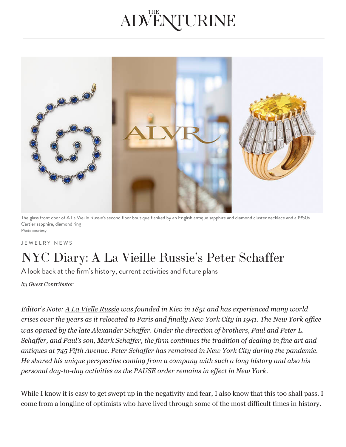## ADVENTURINE



The glass front door of A La Vieille Russie's second floor boutique flanked by an English antique sapphire and diamond cluster necklace and a 1950s Cartier sapphire, diamond ring Photo courtesy

J E W E L R Y N E W S

## NYC Diary: A La Vieille Russie's Peter Schaffer

A look back at the firm's history, current activities and future plans

*[by Guest Contributor](https://theadventurine.com/author/guest-contributor/)*

*Editor's Note: [A La Vielle Russie](https://www.alvr.com/) was founded in Kiev in 1851 and has experienced many world crises over the years as it relocated to Paris and finally New York City in 1941. The New York office was opened by the late Alexander Schaffer. Under the direction of brothers, Paul and Peter L. [Schaffer, and Pau](https://theadventurine.com/jewelry/jewelry-news/)l's son, Mark Schaffer, the firm continues the tradition of dealing in fine art and antiques at 745 Fifth Avenue. Peter Schaffer has remained in New York City during the pandemic. He shared his unique perspective coming from a company with such a long history and also his personal day-to-day activities as the PAUSE order remains in effect in New York.*

[Whi](https://twitter.com/intent/tweet?text=A%20look%20back%20at%20the%20firm%E2%80%99s%20history,%20current%20activities%20and%20future%20plans&url=https://theadventurine.com/jewelry/jewelry-news/nyc-diary-a-la-vieille-russies-peter-schaffer/)le [I k](https://theadventurine.com/jewelry/jewelry-news/nyc-diary-a-la-vieille-russies-peter-schaffer/)n[ow](http://www.facebook.com/share.php?u=https://theadventurine.com/jewelry/jewelry-news/nyc-diary-a-la-vieille-russies-peter-schaffer/&title=NYC%20Diary:%20A%20La%20Vieille%20Russie%E2%80%99s%20Peter%20Schaffer) it [is e](mailto:?subject=The%20Adventurine:%20NYC%20Diary:%20A%20La%20Vieille%20Russie%E2%80%99s%20Peter%20Schaffer&body=https://theadventurine.com/jewelry/jewelry-news/nyc-diary-a-la-vieille-russies-peter-schaffer/%0Dhttps://theadventurine.com)asy to get swept up in the negativity and fear, I also know that this too shall pass. I come from a longline of optimists who have lived through some of the most difficult times in history.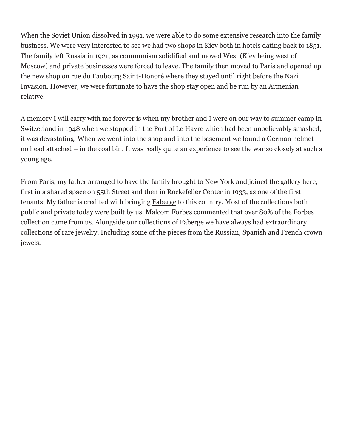When the Soviet Union dissolved in 1991, we were able to do some extensive research into the family business. We were very interested to see we had two shops in Kiev both in hotels dating back to 1851. The family left Russia in 1921, as communism solidified and moved West (Kiev being west of Moscow) and private businesses were forced to leave. The family then moved to Paris and opened up the new shop on rue du Faubourg Saint-Honoré where they stayed until right before the Nazi Invasion. However, we were fortunate to have the shop stay open and be run by an Armenian relative.

A memory I will carry with me forever is when my brother and I were on our way to summer camp in Switzerland in 1948 when we stopped in the Port of Le Havre which had been unbelievably smashed, it was devastating. When we went into the shop and into the basement we found a German helmet – no head attached – in the coal bin. It was really quite an experience to see the war so closely at such a young age.

From Paris, my father arranged to have the family brought to New York and joined the gallery here, first in a shared space on 55th Street and then in Rockefeller Center in 1933, as one of the first tenants. My father is credited with bringing [Faberge](https://www.alvr.com/category/the-collection/faberge/) to this country. Most of the collections both public and private today were built by us. Malcom Forbes commented that over 80% of the Forbes collection came from us. Alongside our collections of Faberge we have always had extraordinary collections of rare jewelry. Including some of the pieces from the Russian, Spanish and French crown jewels.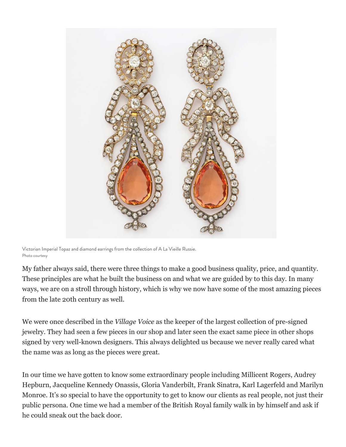

Victorian Imperial Topaz and diamond earrings from the collection of A La Vieille Russie. Photo courtesy

My father always said, there were three things to make a good business quality, price, and quantity. These principles are what he built the business on and what we are guided by to this day. In many ways, we are on a stroll through history, which is why we now have some of the most amazing pieces from the late 20th century as well.

We were once described in the *Village Voice* as the keeper of the largest collection of pre-signed jewelry. They had seen a few pieces in our shop and later seen the exact same piece in other shops signed by very well-known designers. This always delighted us because we never really cared what the name was as long as the pieces were great.

In our time we have gotten to know some extraordinary people including Millicent Rogers, Audrey Hepburn, Jacqueline Kennedy Onassis, Gloria Vanderbilt, Frank Sinatra, Karl Lagerfeld and Marilyn Monroe. It's so special to have the opportunity to get to know our clients as real people, not just their public persona. One time we had a member of the British Royal family walk in by himself and ask if he could sneak out the back door.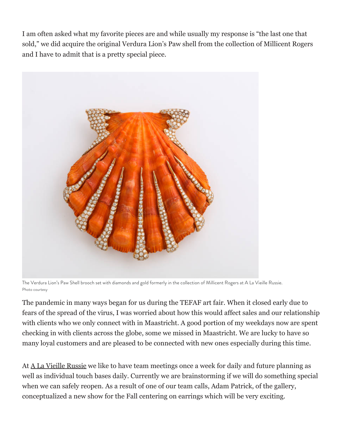I am often asked what my favorite pieces are and while usually my response is "the last one that sold," we did acquire the original Verdura Lion's Paw shell from the collection of Millicent Rogers and I have to admit that is a pretty special piece.



The Verdura Lion's Paw Shell brooch set with diamonds and gold formerly in the collection of Millicent Rogers at A La Vieille Russie. Photo courtesy

The pandemic in many ways began for us during the TEFAF art fair. When it closed early due to fears of the spread of the virus, I was worried about how this would affect sales and our relationship with clients who we only connect with in Maastricht. A good portion of my weekdays now are spent checking in with clients across the globe, some we missed in Maastricht. We are lucky to have so many loyal customers and are pleased to be connected with new ones especially during this time.

At <u>A La Vieille Russie</u> we like to have team meetings once a week for daily and future planning as well as individual touch bases daily. Currently we are brainstorming if we will do something special when we can safely reopen. As a result of one of our team calls, Adam Patrick, of the gallery, conceptualized a new show for the Fall centering on earrings which will be very exciting.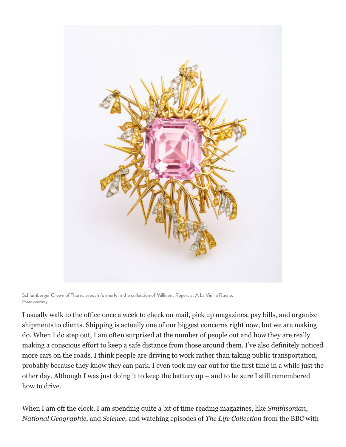

Schlumberger Crown of Thorns brooch formerly in the collection of Millicent Rogers at A La Vieille Russie. Photo courtesy

I usually walk to the office once a week to check on mail, pick up magazines, pay bills, and organize shipments to clients. Shipping is actually one of our biggest concerns right now, but we are making do. When I do step out, I am often surprised at the number of people out and how they are really making a conscious effort to keep a safe distance from those around them. I've also definitely noticed more cars on the roads. I think people are driving to work rather than taking public transportation, probably because they know they can park. I even took my car out for the first time in a while just the other day. Although I was just doing it to keep the battery up – and to be sure I still remembered how to drive.

When I am off the clock, I am spending quite a bit of time reading magazines, like *Smithsonian*, *National Geographic*, and *Science*, and watching episodes of *The Life Collection* from the BBC with